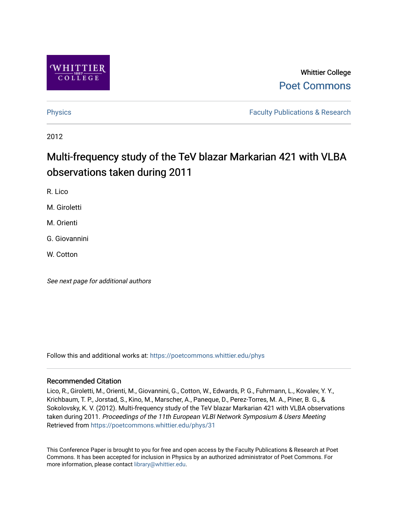

### Whittier College [Poet Commons](https://poetcommons.whittier.edu/)

[Physics](https://poetcommons.whittier.edu/phys) **Faculty Publications & Research Physics Faculty Publications & Research** 

2012

## Multi-frequency study of the TeV blazar Markarian 421 with VLBA observations taken during 2011

R. Lico

M. Giroletti

M. Orienti

G. Giovannini

W. Cotton

See next page for additional authors

Follow this and additional works at: [https://poetcommons.whittier.edu/phys](https://poetcommons.whittier.edu/phys?utm_source=poetcommons.whittier.edu%2Fphys%2F31&utm_medium=PDF&utm_campaign=PDFCoverPages)

#### Recommended Citation

Lico, R., Giroletti, M., Orienti, M., Giovannini, G., Cotton, W., Edwards, P. G., Fuhrmann, L., Kovalev, Y. Y., Krichbaum, T. P., Jorstad, S., Kino, M., Marscher, A., Paneque, D., Perez-Torres, M. A., Piner, B. G., & Sokolovsky, K. V. (2012). Multi-frequency study of the TeV blazar Markarian 421 with VLBA observations taken during 2011. Proceedings of the 11th European VLBI Network Symposium & Users Meeting Retrieved from [https://poetcommons.whittier.edu/phys/31](https://poetcommons.whittier.edu/phys/31?utm_source=poetcommons.whittier.edu%2Fphys%2F31&utm_medium=PDF&utm_campaign=PDFCoverPages)

This Conference Paper is brought to you for free and open access by the Faculty Publications & Research at Poet Commons. It has been accepted for inclusion in Physics by an authorized administrator of Poet Commons. For more information, please contact [library@whittier.edu.](mailto:library@whittier.edu)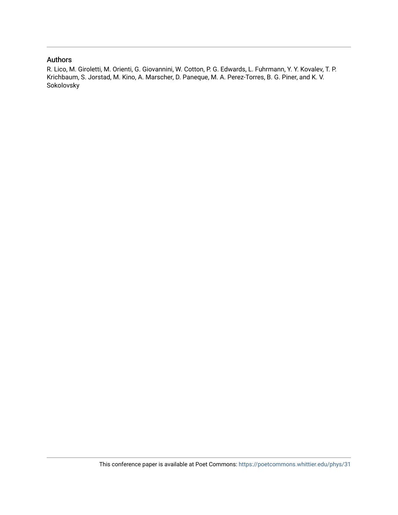### Authors

R. Lico, M. Giroletti, M. Orienti, G. Giovannini, W. Cotton, P. G. Edwards, L. Fuhrmann, Y. Y. Kovalev, T. P. Krichbaum, S. Jorstad, M. Kino, A. Marscher, D. Paneque, M. A. Perez-Torres, B. G. Piner, and K. V. Sokolovsky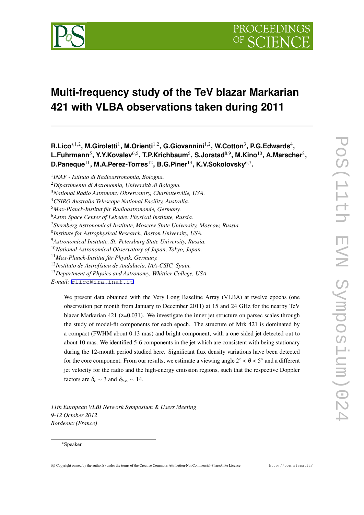

# **Multi-frequency study of the TeV blazar Markarian 421 with VLBA observations taken during 2011**

**R.Lico***∗,*1*,*<sup>2</sup> **, M.Giroletti**<sup>1</sup> **, M.Orienti**1*,*<sup>2</sup> **, G.Giovannini**1*,*<sup>2</sup> **, W.Cotton**<sup>3</sup> **, P.G.Edwards**<sup>4</sup> **, L.Fuhrmann**<sup>5</sup> **, Y.Y.Kovalev**6*,*<sup>5</sup> **, T.P.Krichbaum**<sup>5</sup> **, S.Jorstad**8*,*<sup>9</sup> **, M.Kino**10**, A.Marscher**<sup>8</sup> **, D.Paneque**11**, M.A.Perez-Torres**12**, B.G.Piner**13**, K.V.Sokolovsky**6*,*<sup>7</sup> **.**

We present data obtained with the Very Long Baseline Array (VLBA) at twelve epochs (one observation per month from January to December 2011) at 15 and 24 GHz for the nearby TeV blazar Markarian 421 ( $z=0.031$ ). We investigate the inner jet structure on parsec scales through the study of model-fit components for each epoch. The structure of Mrk 421 is dominated by a compact (FWHM about 0.13 mas) and bright component, with a one sided jet detected out to about 10 mas. We identified 5-6 components in the jet which are consistent with being stationary during the 12-month period studied here. Significant flux density variations have been detected for the core component. From our results, we estimate a viewing angle  $2^\circ < \theta < 5^\circ$  and a different jet velocity for the radio and the high-energy emission regions, such that the respective Doppler factors are  $\delta_r \sim 3$  and  $\delta_{he} \sim 14$ .

*11th European VLBI Network Symposium & Users Meeting 9-12 October 2012 Bordeaux (France)*

#### *∗*Speaker.

<sup>1</sup> *INAF - Istituto di Radioastronomia, Bologna.*

<sup>2</sup>*Dipartimento di Astronomia, Università di Bologna.*

<sup>3</sup>*National Radio Astronomy Observatory, Charlottesville, USA.*

<sup>4</sup>*CSIRO Australia Telescope National Facility, Australia.*

<sup>5</sup>*Max-Planck-Institut für Radioastronomie, Germany.*

<sup>6</sup>*Astro Space Center of Lebedev Physical Institute, Russia.*

<sup>7</sup>*Sternberg Astronomical Institute, Moscow State University, Moscow, Russia.*

<sup>8</sup> *Institute for Astrophysical Research, Boston University, USA.*

<sup>9</sup>*Astronomical Institute, St. Petersburg State University, Russia.*

<sup>10</sup>*National Astronomical Observatory of Japan, Tokyo, Japan.*

<sup>11</sup>*Max-Planck-Institut für Physik, Germany.*

<sup>12</sup>*Instituto de Astrofísica de Andalucia, IAA-CSIC, Spain.*

<sup>13</sup>*Department of Physics and Astronomy, Whittier College, USA.*

*E-mail:* [rlico@ira.inaf.it](mailto:rlico@ira.inaf.it)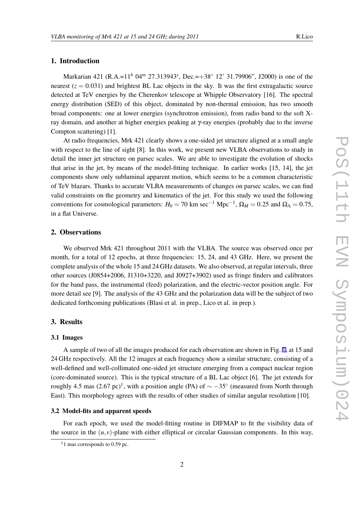### 1. Introduction

Markarian 421 (R.A.=11*<sup>h</sup>* 04*<sup>m</sup>* 27*.*313943*<sup>s</sup>* , Dec.=+38*◦* 12' 31.79906", J2000) is one of the nearest  $(z = 0.031)$  and brightest BL Lac objects in the sky. It was the first extragalactic source detected at TeV energies by the Cherenkov telescope at Whipple Observatory [16]. The spectral energy distribution (SED) of this object, dominated by non-thermal emission, has two smooth broad components: one at lower energies (synchrotron emission), from radio band to the soft Xray domain, and another at higher energies peaking at γ-ray energies (probably due to the inverse Compton scattering) [1].

At radio frequencies, Mrk 421 clearly shows a one-sided jet structure aligned at a small angle with respect to the line of sight [8]. In this work, we present new VLBA observations to study in detail the inner jet structure on parsec scales. We are able to investigate the evolution of shocks that arise in the jet, by means of the model-fitting technique. In earlier works [15, 14], the jet components show only subluminal apparent motion, which seems to be a common characteristic of TeV blazars. Thanks to accurate VLBA measurements of changes on parsec scales, we can find valid constraints on the geometry and kinematics of the jet. For this study we used the following conventions for cosmological parameters:  $H_0 = 70$  km sec<sup>-1</sup> Mpc<sup>-1</sup>,  $\Omega_M = 0.25$  and  $\Omega_{\Lambda} = 0.75$ , in a flat Universe.

#### 2. Observations

We observed Mrk 421 throughout 2011 with the VLBA. The source was observed once per month, for a total of 12 epochs, at three frequencies: 15, 24, and 43 GHz. Here, we present the complete analysis of the whole 15 and 24 GHz datasets. We also observed, at regular intervals, three other sources (J0854+2006, J1310+3220, and J0927+3902) used as fringe finders and calibrators for the band pass, the instrumental (feed) polarization, and the electric-vector position angle. For more detail see [9]. The analysis of the 43 GHz and the polarization data will be the subject of two dedicated forthcoming publications (Blasi et al. in prep., Lico et al. in prep.).

#### 3. Results

#### 3.1 Images

A sample of two of all the images produced for each observation are shown in Fig. [1](#page-4-0), at 15 and 24 GHz respectively. All the 12 images at each frequency show a similar structure, consisting of a well-defined and well-collimated one-sided jet structure emerging from a compact nuclear region (core-dominated source). This is the typical structure of a BL Lac object [6]. The jet extends for roughly 4.5 mas  $(2.67 \text{ pc})^1$ , with a position angle (PA) of  $\sim -35^\circ$  (measured from North through East). This morphology agrees with the results of other studies of similar angular resolution [10].

#### 3.2 Model-fits and apparent speeds

For each epoch, we used the model-fitting routine in DIFMAP to fit the visibility data of the source in the  $(u, v)$ -plane with either elliptical or circular Gaussian components. In this way,

<sup>&</sup>lt;sup>1</sup>1 mas corresponds to 0.59 pc.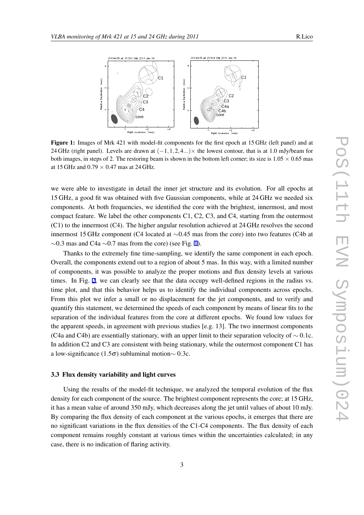<span id="page-4-0"></span>

Figure 1: Images of Mrk 421 with model-fit components for the first epoch at 15 GHz (left panel) and at 24 GHz (right panel). Levels are drawn at (*−*1*,*1*,*2*,*4*...*)*×* the lowest contour, that is at 1.0 mJy/beam for both images, in steps of 2. The restoring beam is shown in the bottom left corner; its size is  $1.05 \times 0.65$  mas at 15 GHz and 0.79 *×* 0.47 mas at 24 GHz.

we were able to investigate in detail the inner jet structure and its evolution. For all epochs at 15 GHz, a good fit was obtained with five Gaussian components, while at 24 GHz we needed six components. At both frequencies, we identified the core with the brightest, innermost, and most compact feature. We label the other components C1, C2, C3, and C4, starting from the outermost (C1) to the innermost (C4). The higher angular resolution achieved at 24 GHz resolves the second innermost 15 GHz component (C4 located at *∼*0.45 mas from the core) into two features (C4b at *∼*0.3 mas and C4a *∼*0.7 mas from the core) (see Fig. 1).

Thanks to the extremely fine time-sampling, we identify the same component in each epoch. Overall, the components extend out to a region of about 5 mas. In this way, with a limited number of components, it was possible to analyze the proper motions and flux density levels at various times. In Fig. [2](#page-5-0), we can clearly see that the data occupy well-defined regions in the radius vs. time plot, and that this behavior helps us to identify the individual components across epochs. From this plot we infer a small or no displacement for the jet components, and to verify and quantify this statement, we determined the speeds of each component by means of linear fits to the separation of the individual features from the core at different epochs. We found low values for the apparent speeds, in agreement with previous studies [e.g. 13]. The two innermost components (C4a and C4b) are essentially stationary, with an upper limit to their separation velocity of *∼* 0*.*1c. In addition C2 and C3 are consistent with being stationary, while the outermost component C1 has a low-significance (1.5σ) subluminal motion*∼* 0*.*3c.

#### 3.3 Flux density variability and light curves

Using the results of the model-fit technique, we analyzed the temporal evolution of the flux density for each component of the source. The brightest component represents the core; at 15 GHz, it has a mean value of around 350 mJy, which decreases along the jet until values of about 10 mJy. By comparing the flux density of each component at the various epochs, it emerges that there are no significant variations in the flux densities of the C1-C4 components. The flux density of each component remains roughly constant at various times within the uncertainties calculated; in any case, there is no indication of flaring activity.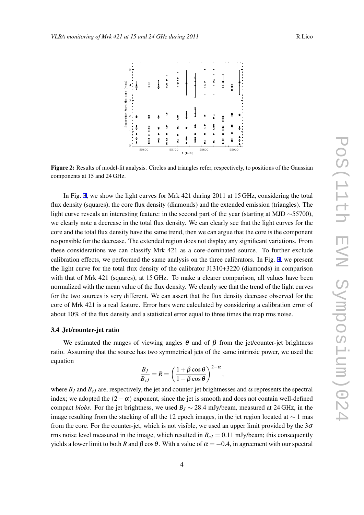<span id="page-5-0"></span>

Figure 2: Results of model-fit analysis. Circles and triangles refer, respectively, to positions of the Gaussian components at 15 and 24 GHz.

In Fig. [3](#page-6-0), we show the light curves for Mrk 421 during 2011 at 15 GHz, considering the total flux density (squares), the core flux density (diamonds) and the extended emission (triangles). The light curve reveals an interesting feature: in the second part of the year (starting at MJD *∼*55700), we clearly note a decrease in the total flux density. We can clearly see that the light curves for the core and the total flux density have the same trend, then we can argue that the core is the component responsible for the decrease. The extended region does not display any significant variations. From these considerations we can classify Mrk 421 as a core-dominated source. To further exclude calibration effects, we performed the same analysis on the three calibrators. In Fig. [3,](#page-6-0) we present the light curve for the total flux density of the calibrator J1310+3220 (diamonds) in comparison with that of Mrk 421 (squares), at 15 GHz. To make a clearer comparison, all values have been normalized with the mean value of the flux density. We clearly see that the trend of the light curves for the two sources is very different. We can assert that the flux density decrease observed for the core of Mrk 421 is a real feature. Error bars were calculated by considering a calibration error of about 10% of the flux density and a statistical error equal to three times the map rms noise.

#### 3.4 Jet/counter-jet ratio

We estimated the ranges of viewing angles  $\theta$  and of  $\beta$  from the jet/counter-jet brightness ratio. Assuming that the source has two symmetrical jets of the same intrinsic power, we used the equation

$$
\frac{B_J}{B_{cJ}} = R = \left(\frac{1+\beta\cos\theta}{1-\beta\cos\theta}\right)^{2-\alpha},
$$

where  $B_J$  and  $B_{cJ}$  are, respectively, the jet and counter-jet brightnesses and  $\alpha$  represents the spectral index; we adopted the  $(2-\alpha)$  exponent, since the jet is smooth and does not contain well-defined compact *blobs*. For the jet brightness, we used  $B_J \sim 28.4$  mJy/beam, measured at 24 GHz, in the image resulting from the stacking of all the 12 epoch images, in the jet region located at *∼* 1 mas from the core. For the counter-jet, which is not visible, we used an upper limit provided by the  $3\sigma$ rms noise level measured in the image, which resulted in  $B<sub>cJ</sub> = 0.11$  mJy/beam; this consequently yields a lower limit to both *R* and  $\beta$  cos  $\theta$ . With a value of  $\alpha = -0.4$ , in agreement with our spectral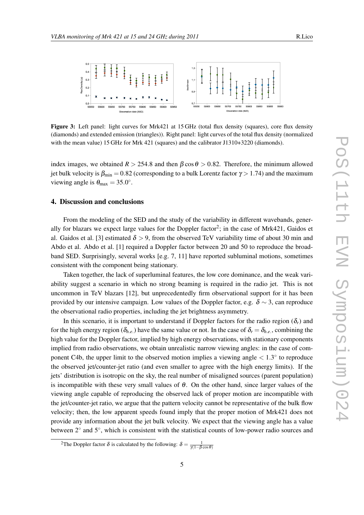<span id="page-6-0"></span>

Figure 3: Left panel: light curves for Mrk421 at 15 GHz (total flux density (squares), core flux density (diamonds) and extended emission (triangles)). Right panel: light curves of the total flux density (normalized with the mean value) 15 GHz for Mrk 421 (squares) and the calibrator J1310+3220 (diamonds).

index images, we obtained  $R > 254.8$  and then  $\beta \cos \theta > 0.82$ . Therefore, the minimum allowed jet bulk velocity is  $\beta_{\min} = 0.82$  (corresponding to a bulk Lorentz factor  $\gamma > 1.74$ ) and the maximum viewing angle is  $\theta_{\text{max}} = 35.0^{\circ}$ .

#### 4. Discussion and conclusions

From the modeling of the SED and the study of the variability in different wavebands, generally for blazars we expect large values for the Doppler factor<sup>2</sup>; in the case of Mrk421, Gaidos et al. Gaidos et al. [3] estimated  $\delta > 9$ , from the observed TeV variability time of about 30 min and Abdo et al. Abdo et al. [1] required a Doppler factor between 20 and 50 to reproduce the broadband SED. Surprisingly, several works [e.g. 7, 11] have reported subluminal motions, sometimes consistent with the component being stationary.

Taken together, the lack of superluminal features, the low core dominance, and the weak variability suggest a scenario in which no strong beaming is required in the radio jet. This is not uncommon in TeV blazars [12], but unprecedentedly firm observational support for it has been provided by our intensive campaign. Low values of the Doppler factor, e.g.  $\delta \sim 3$ , can reproduce the observational radio properties, including the jet brightness asymmetry.

In this scenario, it is important to understand if Doppler factors for the radio region  $(\delta_r)$  and for the high energy region ( $\delta_{h,e}$ ) have the same value or not. In the case of  $\delta_r = \delta_{h,e}$ , combining the high value for the Doppler factor, implied by high energy observations, with stationary components implied from radio observations, we obtain unrealistic narrow viewing angles: in the case of component C4b, the upper limit to the observed motion implies a viewing angle *<* 1*.*3 *◦* to reproduce the observed jet/counter-jet ratio (and even smaller to agree with the high energy limits). If the jets' distribution is isotropic on the sky, the real number of misaligned sources (parent population) is incompatible with these very small values of  $\theta$ . On the other hand, since larger values of the viewing angle capable of reproducing the observed lack of proper motion are incompatible with the jet/counter-jet ratio, we argue that the pattern velocity cannot be representative of the bulk flow velocity; then, the low apparent speeds found imply that the proper motion of Mrk421 does not provide any information about the jet bulk velocity. We expect that the viewing angle has a value between 2*◦* and 5*◦* , which is consistent with the statistical counts of low-power radio sources and

<sup>&</sup>lt;sup>2</sup>The Doppler factor  $\delta$  is calculated by the following:  $\delta = \frac{1}{\gamma(1-\beta\cos\theta)}$